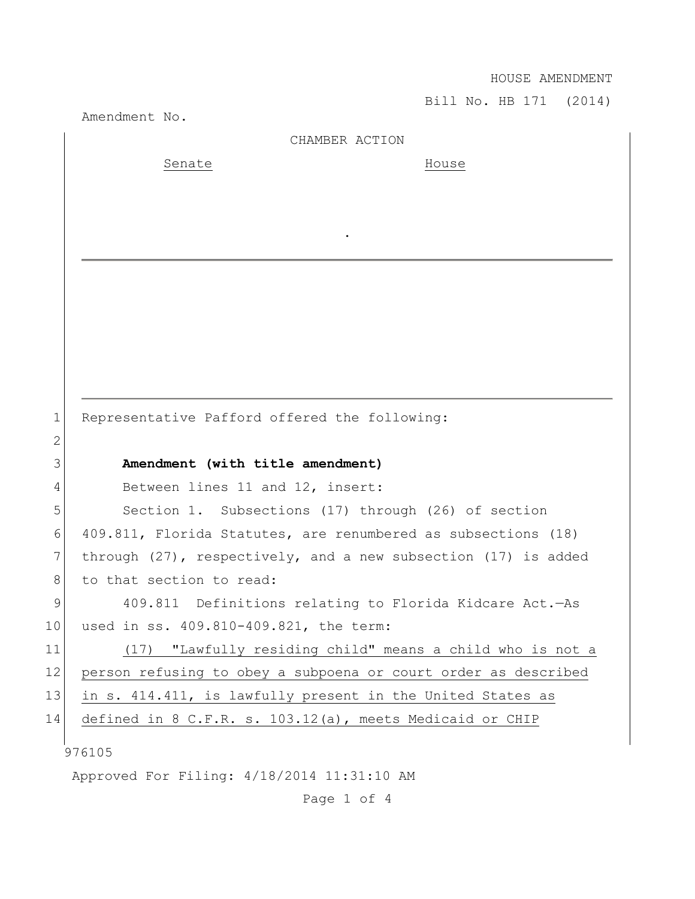HOUSE AMENDMENT

Bill No. HB 171 (2014)

Amendment No. 976105 Approved For Filing: 4/18/2014 11:31:10 AM CHAMBER ACTION Senate House . 1 Representative Pafford offered the following: 2 3 **Amendment (with title amendment)** 4 Between lines 11 and 12, insert: 5 Section 1. Subsections (17) through (26) of section 6 409.811, Florida Statutes, are renumbered as subsections (18) 7 through (27), respectively, and a new subsection (17) is added 8 to that section to read: 9 409.811 Definitions relating to Florida Kidcare Act. - As 10 used in ss. 409.810-409.821, the term: 11 (17) "Lawfully residing child" means a child who is not a 12 person refusing to obey a subpoena or court order as described 13 in s. 414.411, is lawfully present in the United States as 14 defined in 8 C.F.R. s. 103.12(a), meets Medicaid or CHIP

Page 1 of 4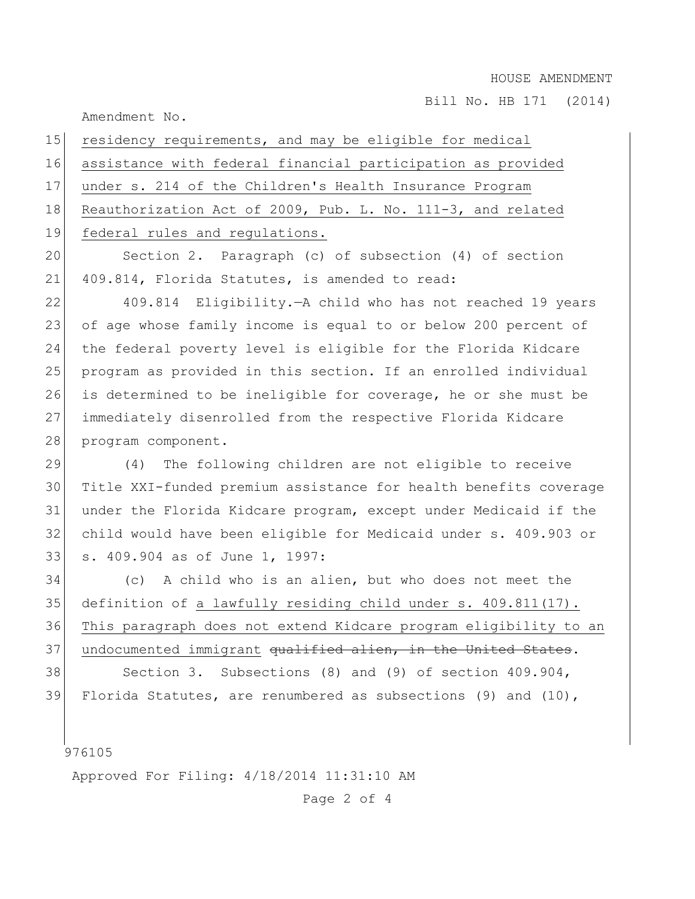Bill No. HB 171 (2014)

Amendment No.

| 15 | residency requirements, and may be eligible for medical            |
|----|--------------------------------------------------------------------|
| 16 | assistance with federal financial participation as provided        |
| 17 | under s. 214 of the Children's Health Insurance Program            |
| 18 | Reauthorization Act of 2009, Pub. L. No. 111-3, and related        |
| 19 | federal rules and regulations.                                     |
| 20 | Section 2. Paragraph (c) of subsection (4) of section              |
| 21 | 409.814, Florida Statutes, is amended to read:                     |
| 22 | 409.814 Eligibility. - A child who has not reached 19 years        |
| 23 | of age whose family income is equal to or below 200 percent of     |
| 24 | the federal poverty level is eligible for the Florida Kidcare      |
| 25 | program as provided in this section. If an enrolled individual     |
| 26 | is determined to be ineligible for coverage, he or she must be     |
| 27 | immediately disenrolled from the respective Florida Kidcare        |
| 28 | program component.                                                 |
| 29 | The following children are not eligible to receive<br>(4)          |
| 30 | Title XXI-funded premium assistance for health benefits coverage   |
| 31 | under the Florida Kidcare program, except under Medicaid if the    |
| 32 | child would have been eligible for Medicaid under s. 409.903 or    |
| 33 | s. 409.904 as of June 1, 1997:                                     |
| 34 | (c) A child who is an alien, but who does not meet the             |
| 35 | definition of a lawfully residing child under s. 409.811(17).      |
| 36 | This paragraph does not extend Kidcare program eligibility to an   |
| 37 | undocumented immigrant qualified alien, in the United States.      |
| 38 | Section 3. Subsections (8) and (9) of section 409.904,             |
| 39 | Florida Statutes, are renumbered as subsections $(9)$ and $(10)$ , |
|    |                                                                    |

|<br>976105

Approved For Filing: 4/18/2014 11:31:10 AM

Page 2 of 4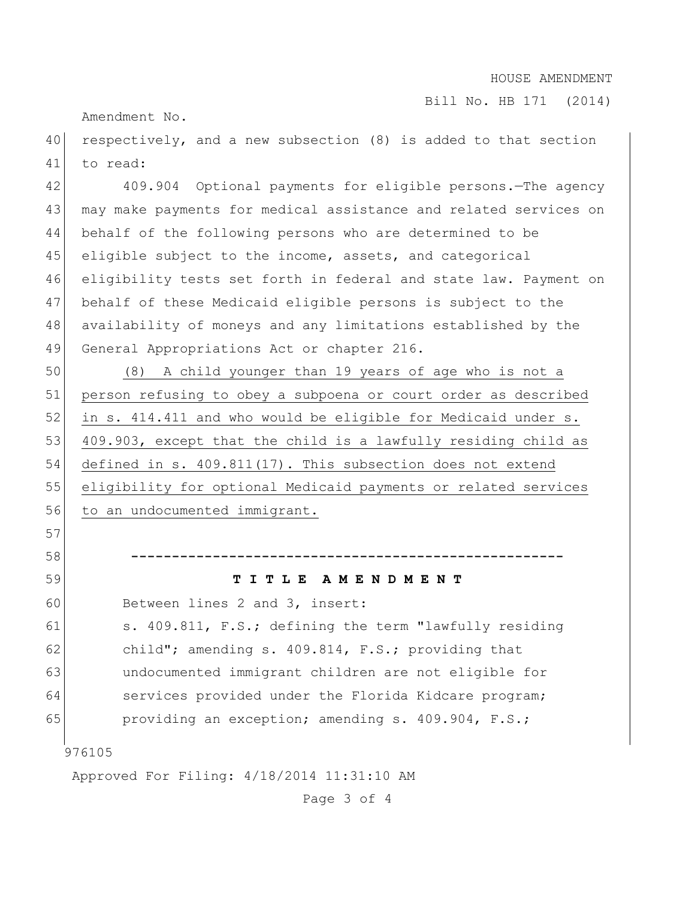## HOUSE AMENDMENT

Bill No. HB 171 (2014)

Amendment No.

40 respectively, and a new subsection (8) is added to that section 41 to read:

 409.904 Optional payments for eligible persons.—The agency 43 may make payments for medical assistance and related services on behalf of the following persons who are determined to be 45 eligible subject to the income, assets, and categorical eligibility tests set forth in federal and state law. Payment on behalf of these Medicaid eligible persons is subject to the availability of moneys and any limitations established by the 49 General Appropriations Act or chapter 216.

50 (8) A child younger than 19 years of age who is not a 51 person refusing to obey a subpoena or court order as described 52 in s. 414.411 and who would be eligible for Medicaid under s. 53 409.903, except that the child is a lawfully residing child as 54 defined in s. 409.811(17). This subsection does not extend 55 eligibility for optional Medicaid payments or related services 56 to an undocumented immigrant.

## 59 **T I T L E A M E N D M E N T**

60 Between lines 2 and 3, insert:

61 s. 409.811, F.S.; defining the term "lawfully residing 62 child"; amending s. 409.814, F.S.; providing that 63 undocumented immigrant children are not eligible for 64 services provided under the Florida Kidcare program; 65 providing an exception; amending s.  $409.904$ , F.S.;

58 **-----------------------------------------------------**

976105

57

Approved For Filing: 4/18/2014 11:31:10 AM

Page 3 of 4